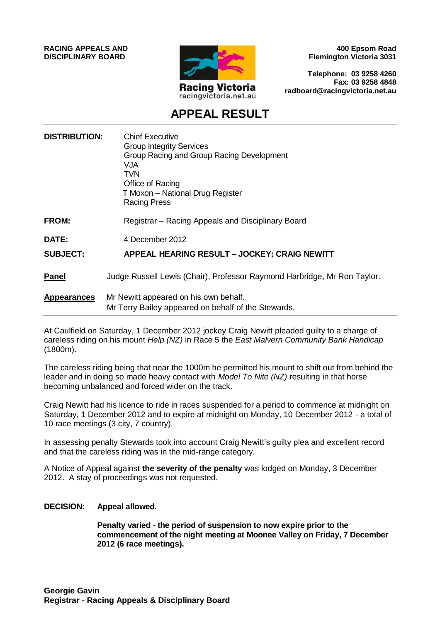**RACING APPEALS AND DISCIPLINARY BOARD**



**400 Epsom Road Flemington Victoria 3031**

**Telephone: 03 9258 4260 Fax: 03 9258 4848 radboard@racingvictoria.net.au**

## **APPEAL RESULT**

| <b>DISTRIBUTION:</b> | <b>Chief Executive</b><br><b>Group Integrity Services</b><br>Group Racing and Group Racing Development<br>VJA<br><b>TVN</b><br>Office of Racing<br>T Moxon - National Drug Register<br>Racing Press |
|----------------------|-----------------------------------------------------------------------------------------------------------------------------------------------------------------------------------------------------|
| <b>FROM:</b>         | Registrar – Racing Appeals and Disciplinary Board                                                                                                                                                   |
| <b>DATE:</b>         | 4 December 2012                                                                                                                                                                                     |
| <b>SUBJECT:</b>      | APPEAL HEARING RESULT – JOCKEY: CRAIG NEWITT                                                                                                                                                        |
| <b>Panel</b>         | Judge Russell Lewis (Chair), Professor Raymond Harbridge, Mr Ron Taylor.                                                                                                                            |
| <b>Appearances</b>   | Mr Newitt appeared on his own behalf.<br>Mr Terry Bailey appeared on behalf of the Stewards.                                                                                                        |

At Caulfield on Saturday, 1 December 2012 jockey Craig Newitt pleaded guilty to a charge of careless riding on his mount *Help (NZ)* in Race 5 the *East Malvern Community Bank Handicap*  (1800m).

The careless riding being that near the 1000m he permitted his mount to shift out from behind the leader and in doing so made heavy contact with *Model To Nite (NZ)* resulting in that horse becoming unbalanced and forced wider on the track.

Craig Newitt had his licence to ride in races suspended for a period to commence at midnight on Saturday, 1 December 2012 and to expire at midnight on Monday, 10 December 2012 - a total of 10 race meetings (3 city, 7 country).

In assessing penalty Stewards took into account Craig Newitt's guilty plea and excellent record and that the careless riding was in the mid-range category.

A Notice of Appeal against **the severity of the penalty** was lodged on Monday, 3 December 2012. A stay of proceedings was not requested.

#### **DECISION: Appeal allowed.**

**Penalty varied - the period of suspension to now expire prior to the commencement of the night meeting at Moonee Valley on Friday, 7 December 2012 (6 race meetings).**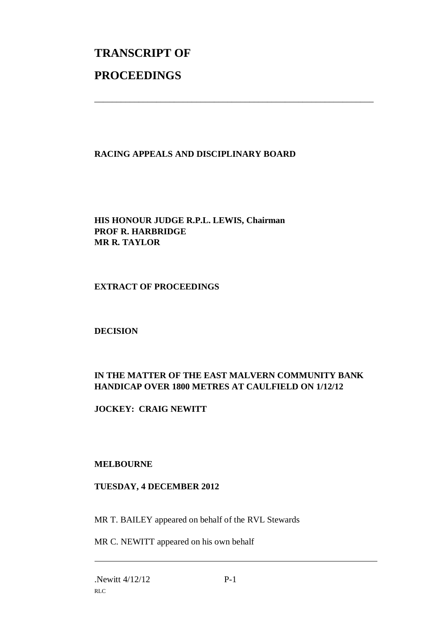# **TRANSCRIPT OF PROCEEDINGS**

#### **RACING APPEALS AND DISCIPLINARY BOARD**

\_\_\_\_\_\_\_\_\_\_\_\_\_\_\_\_\_\_\_\_\_\_\_\_\_\_\_\_\_\_\_\_\_\_\_\_\_\_\_\_\_\_\_\_\_\_\_\_\_\_\_\_\_\_\_\_\_\_\_\_\_\_\_

**HIS HONOUR JUDGE R.P.L. LEWIS, Chairman PROF R. HARBRIDGE MR R. TAYLOR**

#### **EXTRACT OF PROCEEDINGS**

#### **DECISION**

### **IN THE MATTER OF THE EAST MALVERN COMMUNITY BANK HANDICAP OVER 1800 METRES AT CAULFIELD ON 1/12/12**

**JOCKEY: CRAIG NEWITT**

#### **MELBOURNE**

#### **TUESDAY, 4 DECEMBER 2012**

MR T. BAILEY appeared on behalf of the RVL Stewards

MR C. NEWITT appeared on his own behalf